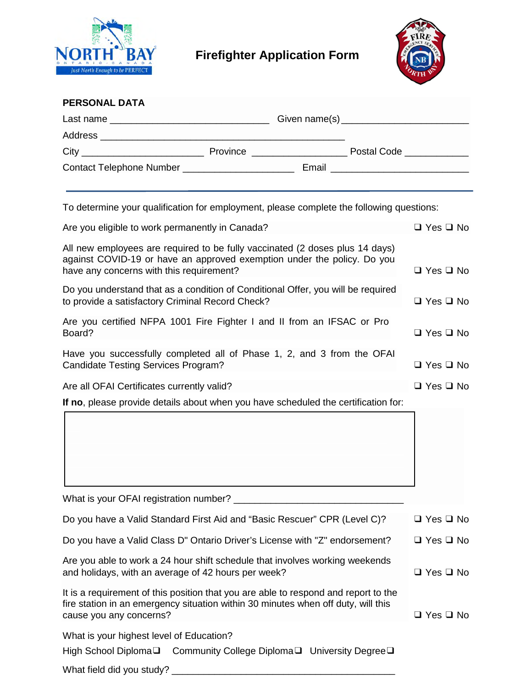

## **Firefighter Application Form**



| <b>PERSONAL DATA</b> |                              |                                      |
|----------------------|------------------------------|--------------------------------------|
|                      |                              |                                      |
|                      |                              |                                      |
|                      | Province ___________________ | Postal Code ____________             |
|                      |                              | Email ______________________________ |

To determine your qualification for employment, please complete the following questions:

| Are you eligible to work permanently in Canada?                                                                                                                                                     |                      |  |
|-----------------------------------------------------------------------------------------------------------------------------------------------------------------------------------------------------|----------------------|--|
| All new employees are required to be fully vaccinated (2 doses plus 14 days)<br>against COVID-19 or have an approved exemption under the policy. Do you<br>have any concerns with this requirement? | $\Box$ Yes $\Box$ No |  |
| Do you understand that as a condition of Conditional Offer, you will be required<br>to provide a satisfactory Criminal Record Check?                                                                | $\Box$ Yes $\Box$ No |  |
| Are you certified NFPA 1001 Fire Fighter I and II from an IFSAC or Pro<br>Board?                                                                                                                    | $\Box$ Yes $\Box$ No |  |
| Have you successfully completed all of Phase 1, 2, and 3 from the OFAI<br><b>Candidate Testing Services Program?</b>                                                                                | $\Box$ Yes $\Box$ No |  |
| Are all OFAI Certificates currently valid?                                                                                                                                                          | $\Box$ Yes $\Box$ No |  |
| If no, please provide details about when you have scheduled the certification for:                                                                                                                  |                      |  |
|                                                                                                                                                                                                     |                      |  |
| What is your OFAI registration number? ______________                                                                                                                                               |                      |  |
| Do you have a Valid Standard First Aid and "Basic Rescuer" CPR (Level C)?                                                                                                                           | $\Box$ Yes $\Box$ No |  |
| Do you have a Valid Class D" Ontario Driver's License with "Z" endorsement?                                                                                                                         | $\Box$ Yes $\Box$ No |  |
| Are you able to work a 24 hour shift schedule that involves working weekends<br>and holidays, with an average of 42 hours per week?                                                                 | $\Box$ Yes $\Box$ No |  |
| It is a requirement of this position that you are able to respond and report to the<br>fire station in an emergency situation within 30 minutes when off duty, will this<br>cause you any concerns? | $\Box$ Yes $\Box$ No |  |
| What is your highest level of Education?                                                                                                                                                            |                      |  |
| High School Diploma <sup>Q</sup> Community College Diploma <sup>Q</sup> University Degree <sup>Q</sup>                                                                                              |                      |  |
|                                                                                                                                                                                                     |                      |  |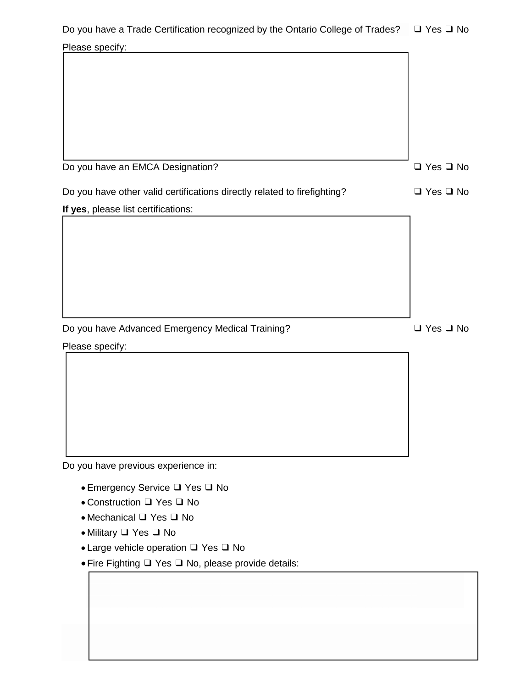| Please specify:                                                          |                      |
|--------------------------------------------------------------------------|----------------------|
|                                                                          |                      |
|                                                                          |                      |
|                                                                          |                      |
|                                                                          |                      |
|                                                                          |                      |
|                                                                          |                      |
| Do you have an EMCA Designation?                                         | $\Box$ Yes $\Box$ No |
| Do you have other valid certifications directly related to firefighting? | $\Box$ Yes $\Box$ No |
| If yes, please list certifications:                                      |                      |
|                                                                          |                      |
|                                                                          |                      |
|                                                                          |                      |
|                                                                          |                      |
|                                                                          |                      |
|                                                                          |                      |
| Do you have Advanced Emergency Medical Training?                         | $\Box$ Yes $\Box$ No |
| Please specify:                                                          |                      |
|                                                                          |                      |
|                                                                          |                      |
|                                                                          |                      |
|                                                                          |                      |
|                                                                          |                      |
|                                                                          |                      |
| Do you have previous experience in:                                      |                      |
| • Emergency Service □ Yes □ No                                           |                      |
| • Construction □ Yes □ No                                                |                      |
| • Mechanical Q Yes Q No                                                  |                      |
| • Military Q Yes Q No                                                    |                      |
| • Large vehicle operation Q Yes Q No                                     |                      |
| • Fire Fighting Q Yes Q No, please provide details:                      |                      |